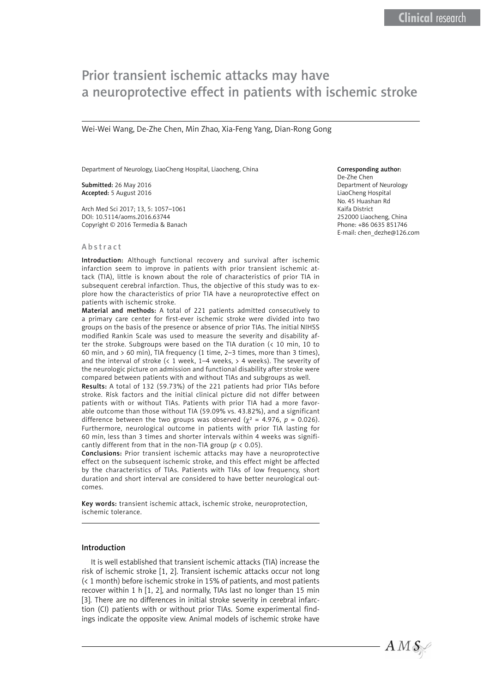# Prior transient ischemic attacks may have a neuroprotective effect in patients with ischemic stroke

Wei-Wei Wang, De-Zhe Chen, Min Zhao, Xia-Feng Yang, Dian-Rong Gong

Department of Neurology, LiaoCheng Hospital, Liaocheng, China

Submitted: 26 May 2016 Accepted: 5 August 2016

Arch Med Sci 2017; 13, 5: 1057–1061 DOI: 10.5114/aoms.2016.63744 Copyright © 2016 Termedia & Banach

#### Abstract

Introduction: Although functional recovery and survival after ischemic infarction seem to improve in patients with prior transient ischemic attack (TIA), little is known about the role of characteristics of prior TIA in subsequent cerebral infarction. Thus, the objective of this study was to explore how the characteristics of prior TIA have a neuroprotective effect on patients with ischemic stroke.

Material and methods: A total of 221 patients admitted consecutively to a primary care center for first-ever ischemic stroke were divided into two groups on the basis of the presence or absence of prior TIAs. The initial NIHSS modified Rankin Scale was used to measure the severity and disability after the stroke. Subgroups were based on the TIA duration (< 10 min, 10 to 60 min, and > 60 min), TIA frequency (1 time, 2–3 times, more than 3 times), and the interval of stroke (< 1 week, 1–4 weeks, > 4 weeks). The severity of the neurologic picture on admission and functional disability after stroke were compared between patients with and without TIAs and subgroups as well.

Results: A total of 132 (59.73%) of the 221 patients had prior TIAs before stroke. Risk factors and the initial clinical picture did not differ between patients with or without TIAs. Patients with prior TIA had a more favorable outcome than those without TIA (59.09% vs. 43.82%), and a significant difference between the two groups was observed ( $\chi^2$  = 4.976, p = 0.026). Furthermore, neurological outcome in patients with prior TIA lasting for 60 min, less than 3 times and shorter intervals within 4 weeks was significantly different from that in the non-TIA group (*p* < 0.05).

Conclusions: Prior transient ischemic attacks may have a neuroprotective effect on the subsequent ischemic stroke, and this effect might be affected by the characteristics of TIAs. Patients with TIAs of low frequency, short duration and short interval are considered to have better neurological outcomes.

Key words: transient ischemic attack, ischemic stroke, neuroprotection, ischemic tolerance.

#### Introduction

It is well established that transient ischemic attacks (TIA) increase the risk of ischemic stroke [1, 2]. Transient ischemic attacks occur not long (< 1 month) before ischemic stroke in 15% of patients, and most patients recover within 1 h [1, 2], and normally, TIAs last no longer than 15 min [3]. There are no differences in initial stroke severity in cerebral infarction (CI) patients with or without prior TIAs. Some experimental findings indicate the opposite view. Animal models of ischemic stroke have

# Corresponding author:

De-Zhe Chen Department of Neurology LiaoCheng Hospital No. 45 Huashan Rd Kaifa District 252000 Liaocheng, China Phone: +86 0635 851746 E-mail: [chen\\_dezhe@126.com](mailto:chen_dezhe@126.com)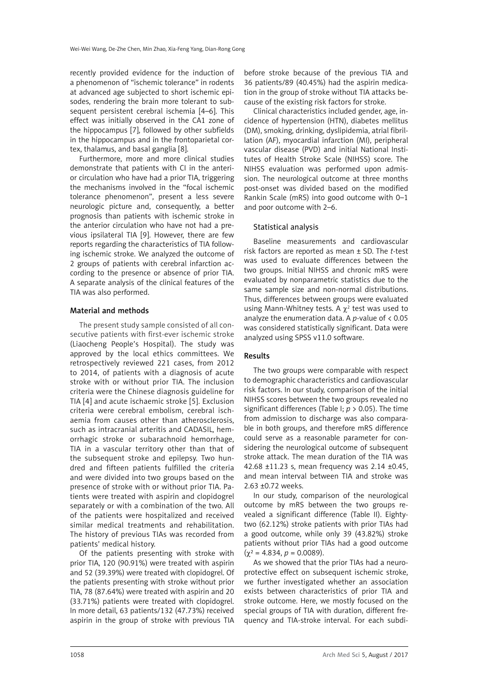recently provided evidence for the induction of a phenomenon of "ischemic tolerance" in rodents at advanced age subjected to short ischemic episodes, rendering the brain more tolerant to subsequent persistent cerebral ischemia [4–6]. This effect was initially observed in the CA1 zone of the hippocampus [7], followed by other subfields in the hippocampus and in the frontoparietal cortex, thalamus, and basal ganglia [8].

Furthermore, more and more clinical studies demonstrate that patients with CI in the anterior circulation who have had a prior TIA, triggering the mechanisms involved in the "focal ischemic tolerance phenomenon", present a less severe neurologic picture and, consequently, a better prognosis than patients with ischemic stroke in the anterior circulation who have not had a previous ipsilateral TIA [9]. However, there are few reports regarding the characteristics of TIA following ischemic stroke. We analyzed the outcome of 2 groups of patients with cerebral infarction according to the presence or absence of prior TIA. A separate analysis of the clinical features of the TIA was also performed.

### Material and methods

The present study sample consisted of all consecutive patients with first-ever ischemic stroke (Liaocheng People's Hospital). The study was approved by the local ethics committees. We retrospectively reviewed 221 cases, from 2012 to 2014, of patients with a diagnosis of acute stroke with or without prior TIA. The inclusion criteria were the Chinese diagnosis guideline for TIA [4] and acute ischaemic stroke [5]. Exclusion criteria were cerebral embolism, cerebral ischaemia from causes other than atherosclerosis, such as intracranial arteritis and CADASIL, hemorrhagic stroke or subarachnoid hemorrhage, TIA in a vascular territory other than that of the subsequent stroke and epilepsy. Two hundred and fifteen patients fulfilled the criteria and were divided into two groups based on the presence of stroke with or without prior TIA. Patients were treated with aspirin and clopidogrel separately or with a combination of the two. All of the patients were hospitalized and received similar medical treatments and rehabilitation. The history of previous TIAs was recorded from patients' medical history.

Of the patients presenting with stroke with prior TIA, 120 (90.91%) were treated with aspirin and 52 (39.39%) were treated with clopidogrel. Of the patients presenting with stroke without prior TIA, 78 (87.64%) were treated with aspirin and 20 (33.71%) patients were treated with clopidogrel. In more detail, 63 patients/132 (47.73%) received aspirin in the group of stroke with previous TIA before stroke because of the previous TIA and 36 patients/89 (40.45%) had the aspirin medication in the group of stroke without TIA attacks because of the existing risk factors for stroke.

Clinical characteristics included gender, age, incidence of hypertension (HTN), diabetes mellitus (DM), smoking, drinking, dyslipidemia, atrial fibrillation (AF), myocardial infarction (MI), peripheral vascular disease (PVD) and initial National Institutes of Health Stroke Scale (NIHSS) score. The NIHSS evaluation was performed upon admission. The neurological outcome at three months post-onset was divided based on the modified Rankin Scale (mRS) into good outcome with 0–1 and poor outcome with 2–6.

### Statistical analysis

Baseline measurements and cardiovascular risk factors are reported as mean ± SD. The *t*-test was used to evaluate differences between the two groups. Initial NIHSS and chronic mRS were evaluated by nonparametric statistics due to the same sample size and non-normal distributions. Thus, differences between groups were evaluated using Mann-Whitney tests. A  $\chi^2$  test was used to analyze the enumeration data. A *p*-value of < 0.05 was considered statistically significant. Data were analyzed using SPSS v11.0 software.

# Results

The two groups were comparable with respect to demographic characteristics and cardiovascular risk factors. In our study, comparison of the initial NIHSS scores between the two groups revealed no significant differences (Table I; *p* > 0.05). The time from admission to discharge was also comparable in both groups, and therefore mRS difference could serve as a reasonable parameter for considering the neurological outcome of subsequent stroke attack. The mean duration of the TIA was 42.68 ±11.23 s, mean frequency was 2.14 ±0.45, and mean interval between TIA and stroke was 2.63 ±0.72 weeks.

In our study, comparison of the neurological outcome by mRS between the two groups revealed a significant difference (Table II). Eightytwo (62.12%) stroke patients with prior TIAs had a good outcome, while only 39 (43.82%) stroke patients without prior TIAs had a good outcome  $(\gamma^2 = 4.834, p = 0.0089).$ 

As we showed that the prior TIAs had a neuroprotective effect on subsequent ischemic stroke, we further investigated whether an association exists between characteristics of prior TIA and stroke outcome. Here, we mostly focused on the special groups of TIA with duration, different frequency and TIA-stroke interval. For each subdi-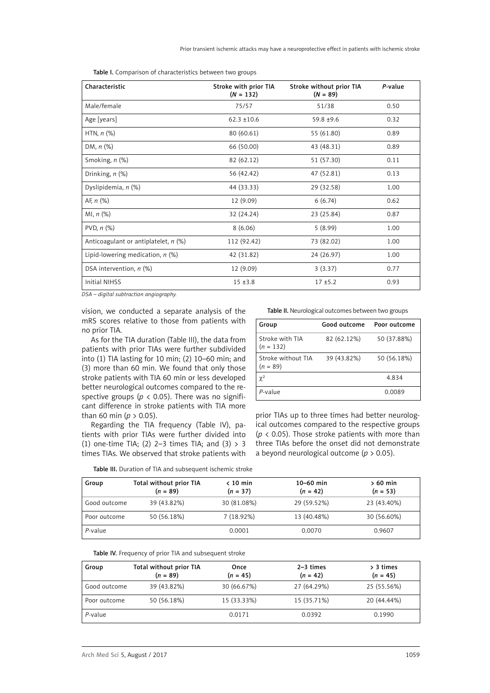| Characteristic                         | Stroke with prior TIA<br>$(N = 132)$ | Stroke without prior TIA<br>$(N = 89)$ | P-value |
|----------------------------------------|--------------------------------------|----------------------------------------|---------|
| Male/female                            | 75/57                                | 51/38                                  | 0.50    |
| Age [years]                            | $62.3 \pm 10.6$                      | $59.8 + 9.6$                           | 0.32    |
| HTN, $n$ $(\%)$                        | 80 (60.61)                           | 55 (61.80)                             | 0.89    |
| DM, $n$ $%$                            | 66 (50.00)                           | 43 (48.31)                             | 0.89    |
| Smoking, $n$ $(\%)$                    | 82 (62.12)                           | 51 (57.30)                             | 0.11    |
| Drinking, $n$ $(\%)$                   | 56 (42.42)                           | 47 (52.81)                             | 0.13    |
| Dyslipidemia, n (%)                    | 44 (33.33)                           | 29 (32.58)                             | 1.00    |
| AF, $n$ (%)                            | 12 (9.09)                            | 6(6.74)                                | 0.62    |
| MI, $n$ $(\%)$                         | 32 (24.24)                           | 23 (25.84)                             | 0.87    |
| PVD, $n$ $(\%)$                        | 8(6.06)                              | 5(8.99)                                | 1.00    |
| Anticoagulant or antiplatelet, $n$ (%) | 112 (92.42)                          | 73 (82.02)                             | 1.00    |
| Lipid-lowering medication, $n$ (%)     | 42 (31.82)                           | 24 (26.97)                             | 1.00    |
| DSA intervention, $n$ (%)              | 12 (9.09)                            | 3(3.37)                                | 0.77    |
| <b>Initial NIHSS</b>                   | $15 + 3.8$                           | $17 + 5.2$                             | 0.93    |

Table I. Comparison of characteristics between two groups

*DSA – digital subtraction angiography.*

vision, we conducted a separate analysis of the mRS scores relative to those from patients with no prior TIA.

As for the TIA duration (Table III), the data from patients with prior TIAs were further subdivided into (1) TIA lasting for 10 min; (2) 10–60 min; and (3) more than 60 min. We found that only those stroke patients with TIA 60 min or less developed better neurological outcomes compared to the respective groups ( $p < 0.05$ ). There was no significant difference in stroke patients with TIA more than 60 min ( $p > 0.05$ ).

Regarding the TIA frequency (Table IV), patients with prior TIAs were further divided into (1) one-time TIA; (2) 2-3 times TIA; and (3)  $> 3$ times TIAs. We observed that stroke patients with Table II. Neurological outcomes between two groups

| Group                            | Good outcome | Poor outcome |
|----------------------------------|--------------|--------------|
| Stroke with TIA<br>$(n = 132)$   | 82 (62.12%)  | 50 (37.88%)  |
| Stroke without TIA<br>$(n = 89)$ | 39 (43.82%)  | 50 (56.18%)  |
| $\gamma^2$                       |              | 4.834        |
| P-value                          |              | 0.0089       |

prior TIAs up to three times had better neurological outcomes compared to the respective groups ( $p \lt 0.05$ ). Those stroke patients with more than three TIAs before the onset did not demonstrate a beyond neurological outcome (*p* > 0.05).

| Group        | Total without prior TIA<br>$(n = 89)$ | $\langle$ 10 min<br>$(n = 37)$ | $10 - 60$ min<br>$(n = 42)$ | $>60$ min<br>$(n = 53)$ |
|--------------|---------------------------------------|--------------------------------|-----------------------------|-------------------------|
| Good outcome | 39 (43.82%)                           | 30 (81.08%)                    | 29 (59.52%)                 | 23 (43.40%)             |
| Poor outcome | 50 (56.18%)                           | 7 (18.92%)                     | 13 (40.48%)                 | 30 (56.60%)             |
| P-value      |                                       | 0.0001                         | 0.0070                      | 0.9607                  |

Table IV. Frequency of prior TIA and subsequent stroke

| Group        | Total without prior TIA<br>$(n = 89)$ | Once<br>$(n = 45)$ | $2-3$ times<br>$(n = 42)$ | $> 3$ times<br>$(n = 45)$ |
|--------------|---------------------------------------|--------------------|---------------------------|---------------------------|
| Good outcome | 39 (43.82%)                           | 30 (66.67%)        | 27 (64.29%)               | 25 (55.56%)               |
| Poor outcome | 50 (56.18%)                           | 15 (33.33%)        | 15 (35.71%)               | 20 (44.44%)               |
| P-value      |                                       | 0.0171             | 0.0392                    | 0.1990                    |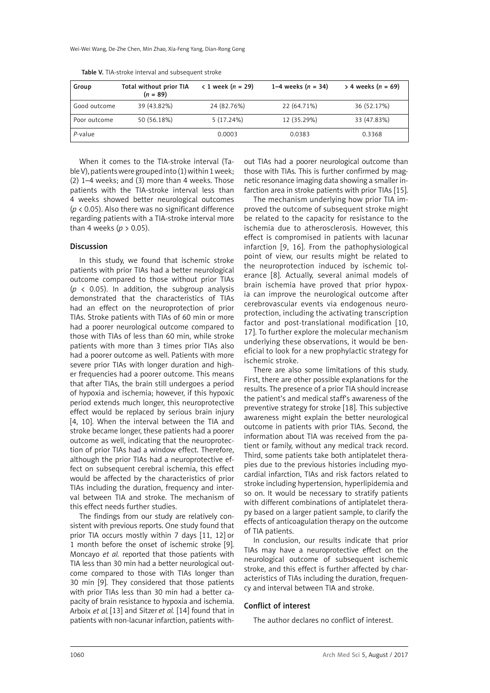| Group        | Total without prior TIA<br>$(n = 89)$ | $\leq 1$ week ( <i>n</i> = 29) | 1–4 weeks $(n = 34)$ | $> 4$ weeks ( <i>n</i> = 69) |
|--------------|---------------------------------------|--------------------------------|----------------------|------------------------------|
| Good outcome | 39 (43.82%)                           | 24 (82.76%)                    | 22 (64.71%)          | 36 (52.17%)                  |
| Poor outcome | 50 (56.18%)                           | 5(17.24%)                      | 12 (35.29%)          | 33 (47.83%)                  |
| P-value      |                                       | 0.0003                         | 0.0383               | 0.3368                       |

Table V. TIA-stroke interval and subsequent stroke

When it comes to the TIA-stroke interval (Table V), patients were grouped into (1) within 1 week; (2) 1–4 weeks; and (3) more than 4 weeks. Those patients with the TIA-stroke interval less than 4 weeks showed better neurological outcomes (*p* < 0.05). Also there was no significant difference regarding patients with a TIA-stroke interval more than 4 weeks ( $p > 0.05$ ).

### Discussion

In this study, we found that ischemic stroke patients with prior TIAs had a better neurological outcome compared to those without prior TIAs (*p* < 0.05). In addition, the subgroup analysis demonstrated that the characteristics of TIAs had an effect on the neuroprotection of prior TIAs. Stroke patients with TIAs of 60 min or more had a poorer neurological outcome compared to those with TIAs of less than 60 min, while stroke patients with more than 3 times prior TIAs also had a poorer outcome as well. Patients with more severe prior TIAs with longer duration and higher frequencies had a poorer outcome. This means that after TIAs, the brain still undergoes a period of hypoxia and ischemia; however, if this hypoxic period extends much longer, this neuroprotective effect would be replaced by serious brain injury [4, 10]. When the interval between the TIA and stroke became longer, these patients had a poorer outcome as well, indicating that the neuroprotection of prior TIAs had a window effect. Therefore, although the prior TIAs had a neuroprotective effect on subsequent cerebral ischemia, this effect would be affected by the characteristics of prior TIAs including the duration, frequency and interval between TIA and stroke. The mechanism of this effect needs further studies.

The findings from our study are relatively consistent with previous reports. One study found that prior TIA occurs mostly within 7 days [11, 12] or 1 month before the onset of ischemic stroke [9]. Moncayo *et al.* reported that those patients with TIA less than 30 min had a better neurological outcome compared to those with TIAs longer than 30 min [9]. They considered that those patients with prior TIAs less than 30 min had a better capacity of brain resistance to hypoxia and ischemia. Arboix *et al.* [13] and Sitzer *et al.* [14] found that in patients with non-lacunar infarction, patients with-

out TIAs had a poorer neurological outcome than those with TIAs. This is further confirmed by magnetic resonance imaging data showing a smaller infarction area in stroke patients with prior TIAs [15].

The mechanism underlying how prior TIA improved the outcome of subsequent stroke might be related to the capacity for resistance to the ischemia due to atherosclerosis. However, this effect is compromised in patients with lacunar infarction [9, 16]. From the pathophysiological point of view, our results might be related to the neuroprotection induced by ischemic tolerance [8]. Actually, several animal models of brain ischemia have proved that prior hypoxia can improve the neurological outcome after cerebrovascular events via endogenous neuroprotection, including the activating transcription factor and post-translational modification [10, 17]. To further explore the molecular mechanism underlying these observations, it would be beneficial to look for a new prophylactic strategy for ischemic stroke.

There are also some limitations of this study. First, there are other possible explanations for the results. The presence of a prior TIA should increase the patient's and medical staff's awareness of the preventive strategy for stroke [18]. This subjective awareness might explain the better neurological outcome in patients with prior TIAs. Second, the information about TIA was received from the patient or family, without any medical track record. Third, some patients take both antiplatelet therapies due to the previous histories including myocardial infarction, TIAs and risk factors related to stroke including hypertension, hyperlipidemia and so on. It would be necessary to stratify patients with different combinations of antiplatelet therapy based on a larger patient sample, to clarify the effects of anticoagulation therapy on the outcome of TIA patients.

In conclusion, our results indicate that prior TIAs may have a neuroprotective effect on the neurological outcome of subsequent ischemic stroke, and this effect is further affected by characteristics of TIAs including the duration, frequency and interval between TIA and stroke.

#### Conflict of interest

The author declares no conflict of interest.